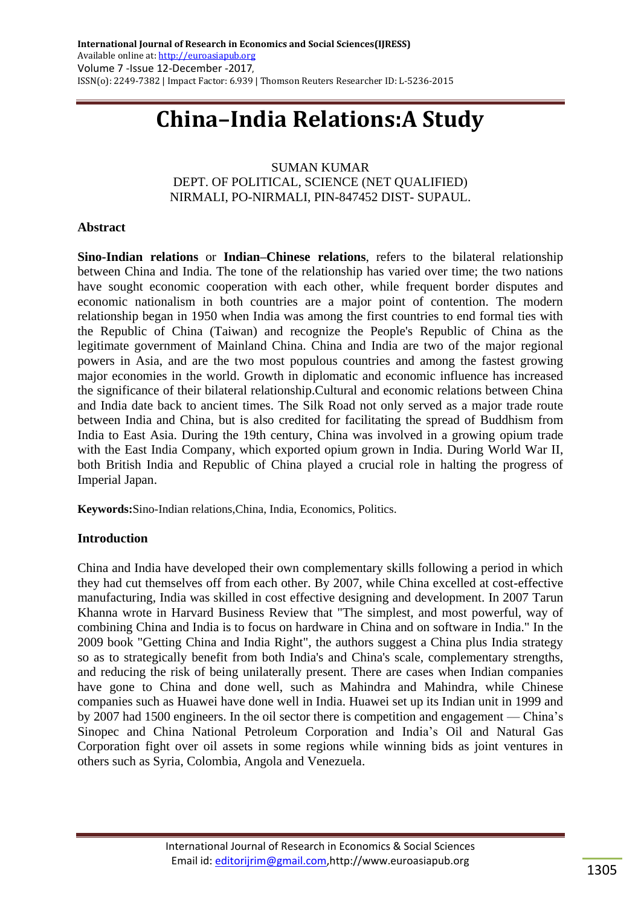# **China–India Relations:A Study**

## SUMAN KUMAR DEPT. OF POLITICAL, SCIENCE (NET QUALIFIED) NIRMALI, PO-NIRMALI, PIN-847452 DIST- SUPAUL.

## **Abstract**

**Sino-Indian relations** or **Indian–Chinese relations**, refers to the bilateral relationship between [China](https://en.wikipedia.org/wiki/China) and [India.](https://en.wikipedia.org/wiki/India) The tone of the relationship has varied over time; the two nations have sought economic cooperation with each other, while frequent border disputes and economic nationalism in both countries are a major point of contention. The modern relationship began in 1950 when India was among the first countries to end formal ties with the Republic of China [\(Taiwan\)](https://en.wikipedia.org/wiki/Taiwan) and recognize the People's Republic of China as the legitimate government of [Mainland China.](https://en.wikipedia.org/wiki/Mainland_China) China and India are two of the major [regional](https://en.wikipedia.org/wiki/Regional_power)  [powers](https://en.wikipedia.org/wiki/Regional_power) in [Asia,](https://en.wikipedia.org/wiki/Asia) and are the two [most populous countries](https://en.wikipedia.org/wiki/List_of_countries_by_population) and among the [fastest growing](https://en.wikipedia.org/wiki/List_of_countries_by_real_GDP_growth_rate) major economies in the world. Growth in diplomatic and economic influence has increased the significance of their bilateral relationship.Cultural and economic relations between China and India date back to ancient times. The [Silk Road](https://en.wikipedia.org/wiki/Silk_Road) not only served as a major [trade route](https://en.wikipedia.org/wiki/Trade_route) between India and China, but is also credited for facilitating the spread of [Buddhism](https://en.wikipedia.org/wiki/Buddhism) from India to East Asia. During the 19th century, China was involved in a growing [opium trade](https://en.wikipedia.org/wiki/Opium_trade) with the [East India Company,](https://en.wikipedia.org/wiki/East_India_Company) which exported opium grown in India. During [World War II,](https://en.wikipedia.org/wiki/World_War_II) both [British India](https://en.wikipedia.org/wiki/British_Raj) and [Republic of China](https://en.wikipedia.org/wiki/Republic_of_China_(1912%E2%80%931949)) played a crucial role in halting the progress of [Imperial Japan.](https://en.wikipedia.org/wiki/Imperial_Japan)

**Keywords:**Sino-Indian relations[,China,](https://en.wikipedia.org/wiki/China) [India,](https://en.wikipedia.org/wiki/India) Economics, Politics.

# **Introduction**

China and India have developed their own complementary skills following a period in which they had cut themselves off from each other. By 2007, while China excelled at cost-effective manufacturing, India was skilled in cost effective designing and development. In 2007 [Tarun](https://en.wikipedia.org/wiki/Tarun_Khanna)  [Khanna](https://en.wikipedia.org/wiki/Tarun_Khanna) wrote in [Harvard Business Review](https://en.wikipedia.org/wiki/Harvard_Business_Review) that "The simplest, and most powerful, way of combining China and India is to focus on hardware in China and on software in India." In the 2009 book "Getting China and India Right", the authors suggest a China plus India strategy so as to strategically benefit from both India's and China's scale, complementary strengths, and reducing the risk of being unilaterally present. There are cases when Indian companies have gone to China and done well, such as [Mahindra and Mahindra,](https://en.wikipedia.org/wiki/Mahindra_%26_Mahindra) while Chinese companies such as [Huawei](https://en.wikipedia.org/wiki/Huawei) have done well in India. Huawei set up its Indian unit in 1999 and by 2007 had 1500 engineers. In the oil sector there is competition and engagement — China's [Sinopec](https://en.wikipedia.org/wiki/Sinopec) and [China National Petroleum Corporation](https://en.wikipedia.org/wiki/China_National_Petroleum_Corporation) and India's [Oil and Natural Gas](https://en.wikipedia.org/wiki/Oil_and_Natural_Gas_Corporation)  [Corporation](https://en.wikipedia.org/wiki/Oil_and_Natural_Gas_Corporation) fight over oil assets in some regions while winning bids as joint ventures in others such as Syria, Colombia, Angola and Venezuela.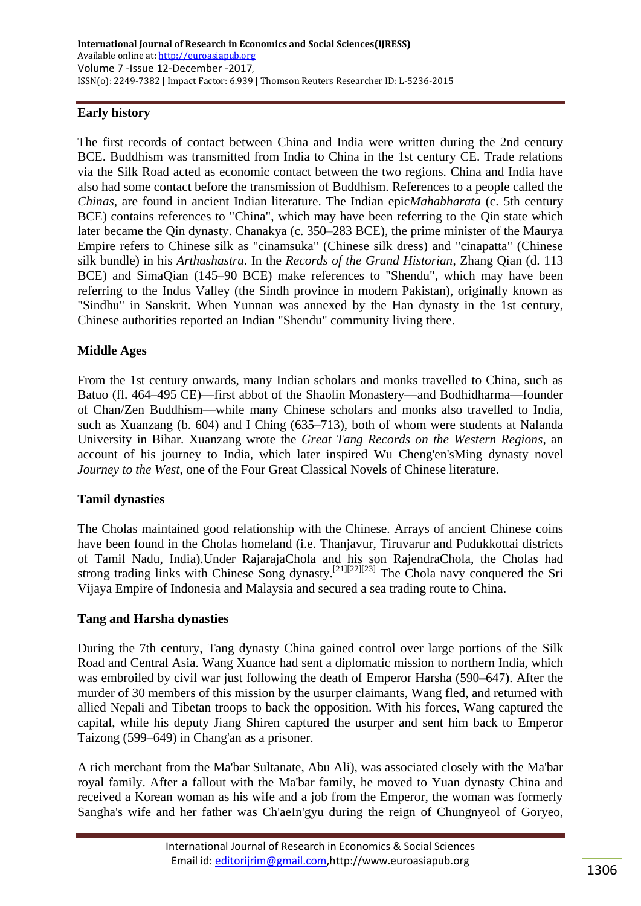# **Early history**

The first records of contact between China and India were written during the 2nd century BCE. [Buddhism](https://en.wikipedia.org/wiki/Buddhism) was transmitted from India to China in the 1st century CE. Trade relations via the [Silk Road](https://en.wikipedia.org/wiki/Silk_Road) acted as economic contact between the two regions. China and India have also had some contact before the transmission of Buddhism. References to a people called the *[Chinas](https://en.wikipedia.org/wiki/Chinas)*, are found in ancient [Indian literature.](https://en.wikipedia.org/wiki/Indian_literature) The [Indian epic](https://en.wikipedia.org/wiki/Indian_epic_poetry)*[Mahabharata](https://en.wikipedia.org/wiki/Indian_epic_poetry)* (c. 5th century BCE) contains references to ["China"](https://en.wikipedia.org/wiki/China_in_the_Mah%C4%81bh%C4%81rata), which may have been referring to the [Qin](https://en.wikipedia.org/wiki/Qin_(state)) state which later became the [Qin dynasty.](https://en.wikipedia.org/wiki/Qin_dynasty) [Chanakya](https://en.wikipedia.org/wiki/Chanakya) (c. 350–283 BCE), the prime minister of the [Maurya](https://en.wikipedia.org/wiki/Maurya_Empire)  [Empire](https://en.wikipedia.org/wiki/Maurya_Empire) refers to Chinese silk as "cinamsuka" (Chinese silk dress) and "cinapatta" (Chinese silk bundle) in his *[Arthashastra](https://en.wikipedia.org/wiki/Arthashastra)*. In the *[Records of the Grand Historian](https://en.wikipedia.org/wiki/Records_of_the_Grand_Historian)*, [Zhang Qian](https://en.wikipedia.org/wiki/Zhang_Qian) (d. 113 BCE) and [SimaQian](https://en.wikipedia.org/wiki/Sima_Qian) (145–90 BCE) make references to "Shendu", which may have been referring to the [Indus Valley](https://en.wikipedia.org/wiki/Indus_River) (the [Sindh](https://en.wikipedia.org/wiki/Sindh) province in modern Pakistan), originally known as "Sindhu" in [Sanskrit.](https://en.wikipedia.org/wiki/Sanskrit) When [Yunnan](https://en.wikipedia.org/wiki/Yunnan) was annexed by the [Han dynasty](https://en.wikipedia.org/wiki/Han_dynasty) in the 1st century, Chinese authorities reported an Indian "Shendu" community living there.

## **Middle Ages**

From the 1st century onwards, many Indian scholars and monks travelled to China, such as [Batuo](https://en.wikipedia.org/wiki/Batuo) [\(fl.](https://en.wikipedia.org/wiki/Floruit) 464–495 CE)—first abbot of the [Shaolin Monastery—](https://en.wikipedia.org/wiki/Shaolin_Monastery)and [Bodhidharma—](https://en.wikipedia.org/wiki/Bodhidharma)founder of [Chan/Zen](https://en.wikipedia.org/wiki/Zen) Buddhism—while many Chinese scholars and monks also travelled to India, such as [Xuanzang](https://en.wikipedia.org/wiki/Xuanzang) (b. 604) and [I Ching](https://en.wikipedia.org/wiki/I_Ching_(monk)) (635–713), both of whom were students at [Nalanda](https://en.wikipedia.org/wiki/Nalanda) University in [Bihar.](https://en.wikipedia.org/wiki/Bihar) Xuanzang wrote the *[Great Tang Records on the Western Regions](https://en.wikipedia.org/wiki/Great_Tang_Records_on_the_Western_Regions)*, an account of his journey to India, which later inspired [Wu Cheng'en'](https://en.wikipedia.org/wiki/Wu_Cheng%27en)[sMing dynasty](https://en.wikipedia.org/wiki/Ming_dynasty) novel *[Journey to the West](https://en.wikipedia.org/wiki/Journey_to_the_West)*, one of the [Four Great Classical Novels](https://en.wikipedia.org/wiki/Four_Great_Classical_Novels) of [Chinese literature.](https://en.wikipedia.org/wiki/Chinese_literature)

## **Tamil dynasties**

The [Cholas](https://en.wikipedia.org/wiki/Cholas) maintained good relationship with the Chinese. Arrays of ancient Chinese coins have been found in the Cholas homeland (i.e. [Thanjavur,](https://en.wikipedia.org/wiki/Thanjavur) [Tiruvarur](https://en.wikipedia.org/wiki/Tiruvarur) and [Pudukkottai](https://en.wikipedia.org/wiki/Pudukkottai) districts of Tamil Nadu, India).Under [RajarajaChola](https://en.wikipedia.org/wiki/Rajaraja_Chola) and his son [RajendraChola,](https://en.wikipedia.org/wiki/Rajendra_Chola) the Cholas had strong trading links with Chinese [Song dynasty](https://en.wikipedia.org/wiki/Song_dynasty)[.](https://en.wikipedia.org/wiki/China%E2%80%93India_relations#cite_note-his_of_india-21)<sup>[\[21\]\[22\]](https://en.wikipedia.org/wiki/China%E2%80%93India_relations#cite_note-his_of_india-21)[\[23\]](https://en.wikipedia.org/wiki/China%E2%80%93India_relations#cite_note-cct-23)</sup> The [Chola navy](https://en.wikipedia.org/wiki/Chola_navy) conquered the Sri [Vijaya](https://en.wikipedia.org/wiki/Sri_Vijaya) Empire of [Indonesia](https://en.wikipedia.org/wiki/Indonesia) and [Malaysia](https://en.wikipedia.org/wiki/Malaysia) and secured a sea trading route to China.

## **Tang and Harsha dynasties**

During the 7th century, [Tang dynasty](https://en.wikipedia.org/wiki/Tang_dynasty) China gained control over large portions of the [Silk](https://en.wikipedia.org/wiki/Silk_Road)  [Road](https://en.wikipedia.org/wiki/Silk_Road) and Central Asia. [Wang Xuance](https://en.wikipedia.org/wiki/Wang_Xuance) had sent a diplomatic mission to northern India, which was embroiled by civil war just following the death of [Emperor Harsha](https://en.wikipedia.org/wiki/Harsha) (590–647). After the murder of 30 members of this mission by the usurper claimants, Wang fled, and returned with allied Nepali and [Tibetan](https://en.wikipedia.org/wiki/Tibet) troops to back the opposition. With his forces, Wang captured the capital, while his deputy Jiang Shiren captured the usurper and sent him back to [Emperor](https://en.wikipedia.org/wiki/Emperor_Taizong_of_Tang)  [Taizong](https://en.wikipedia.org/wiki/Emperor_Taizong_of_Tang) (599–649) in [Chang'an](https://en.wikipedia.org/wiki/Chang%27an) as a prisoner.

A rich merchant from the [Ma'bar Sultanate,](https://en.wikipedia.org/wiki/Ma%27bar_Sultanate) Abu Ali), was associated closely with the Ma'bar royal family. After a fallout with the Ma'bar family, he moved to [Yuan dynasty](https://en.wikipedia.org/wiki/Yuan_dynasty) China and received a Korean woman as his wife and a job from the Emperor, the woman was formerly Sangha's wife and her father was Ch'aeIn'gyu during the reign of [Chungnyeol of Goryeo,](https://en.wikipedia.org/wiki/Chungnyeol_of_Goryeo)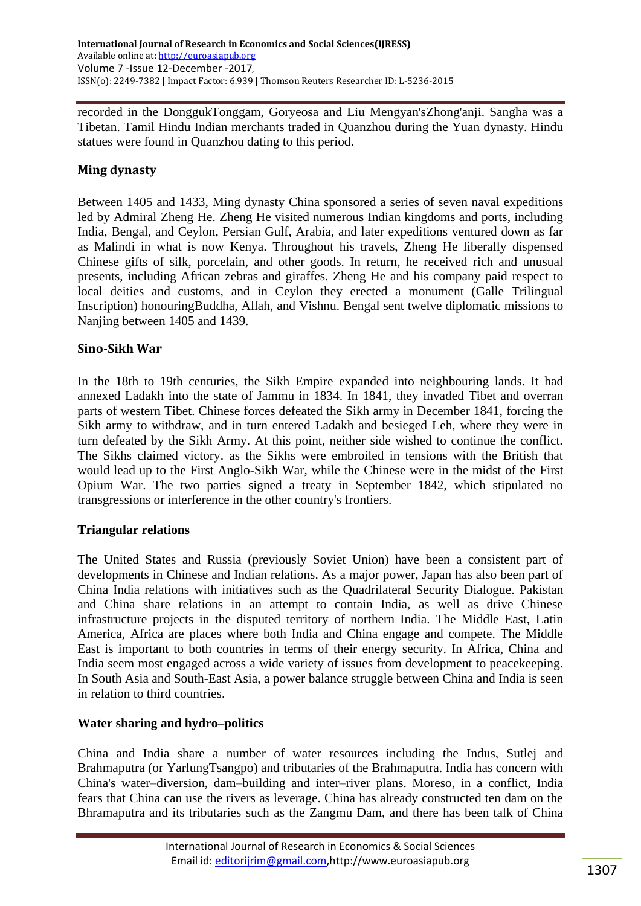recorded in the [DonggukTonggam,](https://en.wikipedia.org/wiki/Dongguk_Tonggam) [Goryeosa](https://en.wikipedia.org/wiki/Goryeosa) and Liu Mengyan'sZhong'anji. Sangha was a Tibetan. Tamil Hindu Indian merchants traded in [Quanzhou](https://en.wikipedia.org/wiki/Quanzhou) during the Yuan dynasty. Hindu statues were found in Quanzhou dating to this period.

# **Ming dynasty**

Between 1405 and 1433, [Ming dynasty](https://en.wikipedia.org/wiki/Ming_dynasty) China sponsored a [series of seven naval expeditions](https://en.wikipedia.org/wiki/Ming_treasure_voyages) led by Admiral [Zheng He.](https://en.wikipedia.org/wiki/Zheng_He) Zheng He visited numerous Indian kingdoms and ports, including India, [Bengal,](https://en.wikipedia.org/wiki/Bengal) and [Ceylon,](https://en.wikipedia.org/wiki/Ceylon) [Persian Gulf,](https://en.wikipedia.org/wiki/Persian_Gulf) [Arabia,](https://en.wikipedia.org/wiki/Arabia) and later expeditions ventured down as far as [Malindi](https://en.wikipedia.org/wiki/Malindi) in what is now [Kenya.](https://en.wikipedia.org/wiki/Kenya) Throughout his travels, Zheng He liberally dispensed Chinese gifts of silk, [porcelain,](https://en.wikipedia.org/wiki/Porcelain) and other goods. In return, he received rich and unusual presents, including African zebras and giraffes. Zheng He and his company paid respect to local [deities](https://en.wikipedia.org/wiki/Deities) and customs, and in Ceylon they erected a monument [\(Galle Trilingual](https://en.wikipedia.org/wiki/Galle_Trilingual_Inscription)  [Inscription\)](https://en.wikipedia.org/wiki/Galle_Trilingual_Inscription) honourin[gBuddha,](https://en.wikipedia.org/wiki/Gautama_Buddha) [Allah,](https://en.wikipedia.org/wiki/Allah) and [Vishnu.](https://en.wikipedia.org/wiki/Vishnu) Bengal sent twelve diplomatic missions to [Nanjing](https://en.wikipedia.org/wiki/Nanjing) between 1405 and 1439.

# **Sino-Sikh War**

In the 18th to 19th centuries, the [Sikh Empire](https://en.wikipedia.org/wiki/Sikh_Empire) expanded into neighbouring lands. It had annexed [Ladakh](https://en.wikipedia.org/wiki/Ladakh) into the state of [Jammu](https://en.wikipedia.org/wiki/Jammu) in 1834. In 1841, they invaded [Tibet](https://en.wikipedia.org/wiki/Tibet_under_Qing_rule) and overran parts of western Tibet. Chinese forces defeated the Sikh army in December 1841, forcing the Sikh army to withdraw, and in turn entered Ladakh and besieged [Leh,](https://en.wikipedia.org/wiki/Leh) where they were in turn defeated by the Sikh Army. At this point, neither side wished to continue the conflict. The Sikhs claimed victory. as the Sikhs were embroiled in tensions with the British that would lead up to the [First Anglo-Sikh War,](https://en.wikipedia.org/wiki/First_Anglo-Sikh_War) while the Chinese were in the midst of the [First](https://en.wikipedia.org/wiki/First_Opium_War)  [Opium War.](https://en.wikipedia.org/wiki/First_Opium_War) The two parties signed a treaty in September 1842, which stipulated no transgressions or interference in the other country's frontiers.

# **Triangular relations**

The United States and Russia (previously Soviet Union) have been a consistent part of developments in Chinese and Indian relations. As a major power, Japan has also been part of China India relations with initiatives such as the [Quadrilateral Security Dialogue.](https://en.wikipedia.org/wiki/Quadrilateral_Security_Dialogue) Pakistan and China share relations in an attempt to contain India, as well as drive Chinese infrastructure projects in the disputed territory of northern India. The Middle East, Latin America, Africa are places where both India and China engage and compete. The Middle East is important to both countries in terms of their energy security. In Africa, China and India seem most engaged across a wide variety of issues from development to peacekeeping. In South Asia and South-East Asia, a power balance struggle between China and India is seen in relation to third countries.

# **Water sharing and hydro–politics**

China and India share a number of water resources including the [Indus,](https://en.wikipedia.org/wiki/Indus_River) [Sutlej](https://en.wikipedia.org/wiki/Sutlej) and [Brahmaputra](https://en.wikipedia.org/wiki/Brahmaputra_River) (or [YarlungTsangpo\)](https://en.wikipedia.org/wiki/Yarlung_Tsangpo) and tributaries of the Brahmaputra. India has concern with China's water–diversion, dam–building and inter–river plans. Moreso, in a conflict, India fears that China can use the rivers as leverage. China has already constructed ten dam on the Bhramaputra and its tributaries such as the [Zangmu Dam,](https://en.wikipedia.org/wiki/Zangmu_Dam) and there has been talk of China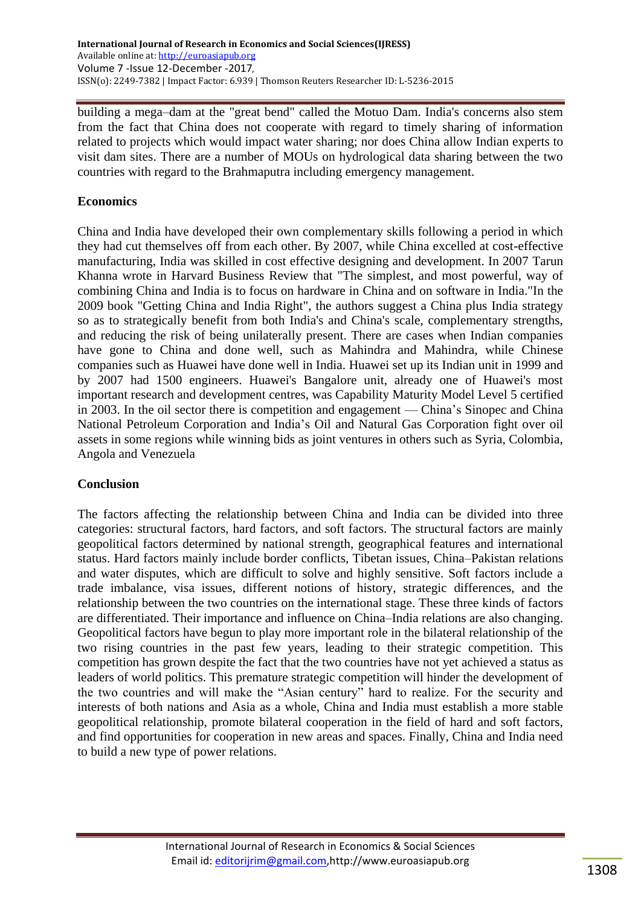building a mega–dam at the "great bend" called the Motuo Dam. India's concerns also stem from the fact that China does not cooperate with regard to timely sharing of information related to projects which would impact water sharing; nor does China allow Indian experts to visit dam sites. There are a number of MOUs on hydrological data sharing between the two countries with regard to the Brahmaputra including emergency management.

# **Economics**

China and India have developed their own complementary skills following a period in which they had cut themselves off from each other. By 2007, while China excelled at cost-effective manufacturing, India was skilled in cost effective designing and development. In 2007 [Tarun](https://en.wikipedia.org/wiki/Tarun_Khanna)  [Khanna](https://en.wikipedia.org/wiki/Tarun_Khanna) wrote in [Harvard Business Review](https://en.wikipedia.org/wiki/Harvard_Business_Review) that "The simplest, and most powerful, way of combining China and India is to focus on hardware in China and on software in India."In the 2009 book "Getting China and India Right", the authors suggest a China plus India strategy so as to strategically benefit from both India's and China's scale, complementary strengths, and reducing the risk of being unilaterally present. There are cases when Indian companies have gone to China and done well, such as [Mahindra and Mahindra,](https://en.wikipedia.org/wiki/Mahindra_%26_Mahindra) while Chinese companies such as [Huawei](https://en.wikipedia.org/wiki/Huawei) have done well in India. Huawei set up its Indian unit in 1999 and by 2007 had 1500 engineers. Huawei's Bangalore unit, already one of Huawei's most important research and development centres, was [Capability Maturity Model](https://en.wikipedia.org/wiki/Capability_Maturity_Model) Level 5 certified in 2003. In the oil sector there is competition and engagement — China's [Sinopec](https://en.wikipedia.org/wiki/Sinopec) and [China](https://en.wikipedia.org/wiki/China_National_Petroleum_Corporation)  [National Petroleum Corporation](https://en.wikipedia.org/wiki/China_National_Petroleum_Corporation) and India's [Oil and Natural Gas Corporation](https://en.wikipedia.org/wiki/Oil_and_Natural_Gas_Corporation) fight over oil assets in some regions while winning bids as joint ventures in others such as Syria, Colombia, Angola and Venezuela

# **Conclusion**

The factors affecting the relationship between China and India can be divided into three categories: structural factors, hard factors, and soft factors. The structural factors are mainly geopolitical factors determined by national strength, geographical features and international status. Hard factors mainly include border conflicts, Tibetan issues, China–Pakistan relations and water disputes, which are difficult to solve and highly sensitive. Soft factors include a trade imbalance, visa issues, different notions of history, strategic differences, and the relationship between the two countries on the international stage. These three kinds of factors are differentiated. Their importance and influence on China–India relations are also changing. Geopolitical factors have begun to play more important role in the bilateral relationship of the two rising countries in the past few years, leading to their strategic competition. This competition has grown despite the fact that the two countries have not yet achieved a status as leaders of world politics. This premature strategic competition will hinder the development of the two countries and will make the "Asian century" hard to realize. For the security and interests of both nations and Asia as a whole, China and India must establish a more stable geopolitical relationship, promote bilateral cooperation in the field of hard and soft factors, and find opportunities for cooperation in new areas and spaces. Finally, China and India need to build a new type of power relations.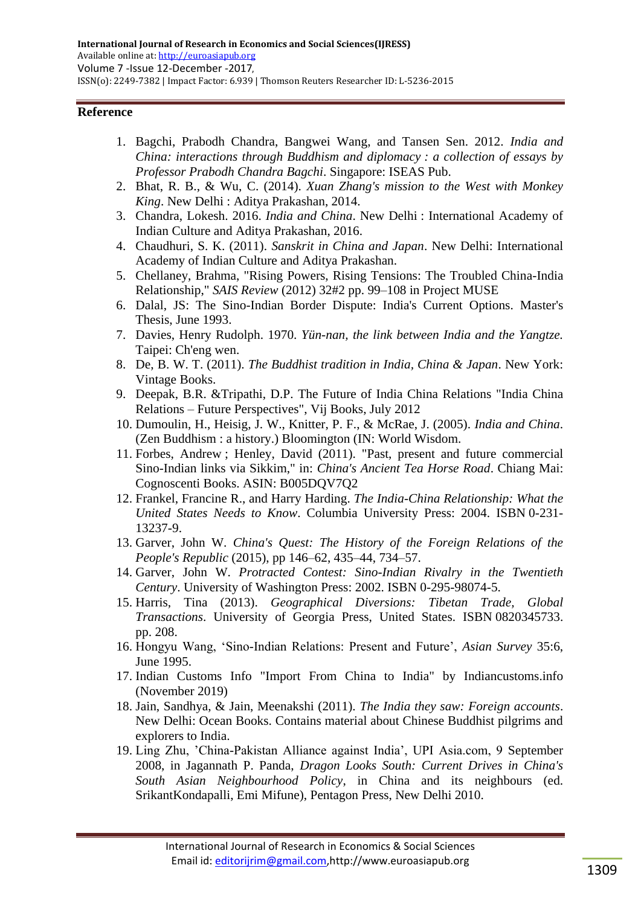## **Reference**

- 1. Bagchi, Prabodh Chandra, Bangwei Wang, and Tansen Sen. 2012. *India and China: interactions through Buddhism and diplomacy : a collection of essays by Professor Prabodh Chandra Bagchi*. Singapore: ISEAS Pub.
- 2. Bhat, R. B., & Wu, C. (2014). *Xuan Zhang's mission to the West with Monkey King*. New Delhi : Aditya Prakashan, 2014.
- 3. [Chandra, Lokesh.](https://en.wikipedia.org/wiki/Lokesh_Chandra) 2016. *India and China*. New Delhi : International Academy of Indian Culture and Aditya Prakashan, 2016.
- 4. Chaudhuri, S. K. (2011). *Sanskrit in China and Japan*. New Delhi: International Academy of Indian Culture and Aditya Prakashan.
- 5. Chellaney, Brahma, "Rising Powers, Rising Tensions: The Troubled China-India Relationship," *SAIS Review* (2012) 32#2 pp. 99–108 [in Project MUSE](http://muse.jhu.edu/journals/sais_review/v032/32.2.chellaney.html)
- 6. Dalal, JS: [The Sino-Indian Border Dispute: India's Current Options.](http://www.dtic.mil/cgi-bin/GetTRDoc?AD=ADA272886&Location=U2&doc=GetTRDoc.pdf) Master's Thesis, June 1993.
- 7. Davies, Henry Rudolph. 1970. *Yün-nan, the link between India and the Yangtze.* Taipei: Ch'eng wen.
- 8. De, B. W. T. (2011). *The Buddhist tradition in India, China & Japan*. New York: Vintage Books.
- 9. Deepak, B.R. &Tripathi, D.P. [The Future of India China Relations](http://www.free-press-release.com/news-the-future-of-india-china-relations-1346254066.html) "India China Relations – Future Perspectives", Vij Books, July 2012
- 10. Dumoulin, H., Heisig, J. W., Knitter, P. F., & McRae, J. (2005). *India and China*. (Zen Buddhism : a history.) Bloomington (IN: World Wisdom.
- 11. Forbes, Andrew ; Henley, David (2011). "Past, present and future commercial Sino-Indian links via Sikkim," in: *China's Ancient Tea Horse Road*. Chiang Mai: Cognoscenti Books. ASIN: B005DQV7Q2
- 12. Frankel, Francine R., and Harry Harding. *[The India-China Relationship: What the](https://web.archive.org/web/20090304185843/http:/www.asiasociety.org/publications/indiachina01.html)  [United States Needs to Know](https://web.archive.org/web/20090304185843/http:/www.asiasociety.org/publications/indiachina01.html)*. Columbia University Press: 2004. [ISBN](https://en.wikipedia.org/wiki/ISBN_(identifier)) [0-231-](https://en.wikipedia.org/wiki/Special:BookSources/0-231-13237-9) [13237-9.](https://en.wikipedia.org/wiki/Special:BookSources/0-231-13237-9)
- 13. Garver, John W. *China's Quest: The History of the Foreign Relations of the People's Republic* (2015), pp 146–62, 435–44, 734–57.
- 14. Garver, John W. *Protracted Contest: Sino-Indian Rivalry in the Twentieth Century*. [University of Washington Press:](https://en.wikipedia.org/wiki/University_of_Washington_Press) 2002. [ISBN](https://en.wikipedia.org/wiki/ISBN_(identifier)) [0-295-98074-5.](https://en.wikipedia.org/wiki/Special:BookSources/0-295-98074-5)
- 15. Harris, Tina (2013). *[Geographical Diversions: Tibetan Trade, Global](https://books.google.com/books?id=RU58AAAAQBAJ)  [Transactions](https://books.google.com/books?id=RU58AAAAQBAJ)*. University of Georgia Press, United States. [ISBN](https://en.wikipedia.org/wiki/ISBN_(identifier)) [0820345733.](https://en.wikipedia.org/wiki/Special:BookSources/0820345733) pp. 208.
- 16. Hongyu Wang, ‗Sino-Indian Relations: Present and Future', *Asian Survey* 35:6, June 1995.
- 17. Indian Customs Info ["Import From China to India"](https://indiancustoms.info/import-from-china-to-india/) by Indiancustoms.info (November 2019)
- 18. Jain, Sandhya, & Jain, Meenakshi (2011). *The India they saw: Foreign accounts*. New Delhi: Ocean Books. Contains material about Chinese Buddhist pilgrims and explorers to India.
- 19. Ling Zhu, 'China-Pakistan Alliance against India', UPI Asia.com, 9 September 2008, in Jagannath P. Panda, *Dragon Looks South: Current Drives in China's South Asian Neighbourhood Policy*, in China and its neighbours (ed. SrikantKondapalli, Emi Mifune), Pentagon Press, New Delhi 2010.